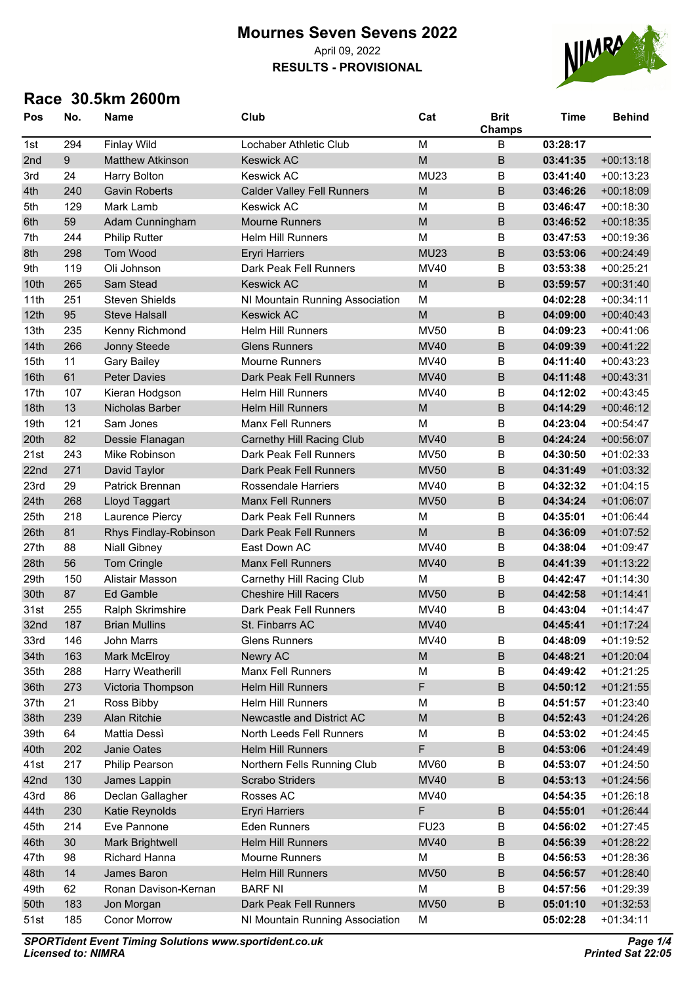#### **Mournes Seven Sevens 2022** April 09, 2022

**RESULTS - PROVISIONAL**



| Pos  | No. | <b>Name</b>             | Club                              | Cat         | <b>Brit</b><br>Champs | <b>Time</b> | <b>Behind</b> |
|------|-----|-------------------------|-----------------------------------|-------------|-----------------------|-------------|---------------|
| 1st  | 294 | <b>Finlay Wild</b>      | Lochaber Athletic Club            | M           | B                     | 03:28:17    |               |
| 2nd  | 9   | <b>Matthew Atkinson</b> | <b>Keswick AC</b>                 | M           | B                     | 03:41:35    | $+00:13:18$   |
| 3rd  | 24  | <b>Harry Bolton</b>     | <b>Keswick AC</b>                 | <b>MU23</b> | B                     | 03:41:40    | $+00:13:23$   |
| 4th  | 240 | <b>Gavin Roberts</b>    | <b>Calder Valley Fell Runners</b> | M           | B                     | 03:46:26    | $+00:18:09$   |
| 5th  | 129 | Mark Lamb               | <b>Keswick AC</b>                 | M           | B                     | 03:46:47    | $+00:18:30$   |
| 6th  | 59  | Adam Cunningham         | <b>Mourne Runners</b>             | M           | $\mathsf B$           | 03:46:52    | $+00:18:35$   |
| 7th  | 244 | <b>Philip Rutter</b>    | <b>Helm Hill Runners</b>          | M           | B                     | 03:47:53    | $+00:19:36$   |
| 8th  | 298 | Tom Wood                | <b>Eryri Harriers</b>             | <b>MU23</b> | $\sf B$               | 03:53:06    | $+00:24:49$   |
| 9th  | 119 | Oli Johnson             | Dark Peak Fell Runners            | <b>MV40</b> | B                     | 03:53:38    | $+00:25:21$   |
| 10th | 265 | Sam Stead               | <b>Keswick AC</b>                 | M           | B                     | 03:59:57    | $+00:31:40$   |
| 11th | 251 | <b>Steven Shields</b>   | NI Mountain Running Association   | M           |                       | 04:02:28    | $+00:34:11$   |
| 12th | 95  | <b>Steve Halsall</b>    | <b>Keswick AC</b>                 | M           | $\sf B$               | 04:09:00    | $+00:40:43$   |
| 13th | 235 | Kenny Richmond          | Helm Hill Runners                 | <b>MV50</b> | B                     | 04:09:23    | $+00:41:06$   |
| 14th | 266 | Jonny Steede            | <b>Glens Runners</b>              | <b>MV40</b> | $\sf B$               | 04:09:39    | $+00:41:22$   |
| 15th | 11  | <b>Gary Bailey</b>      | <b>Mourne Runners</b>             | MV40        | B                     | 04:11:40    | $+00:43:23$   |
| 16th | 61  | <b>Peter Davies</b>     | Dark Peak Fell Runners            | <b>MV40</b> | $\overline{B}$        | 04:11:48    | $+00:43:31$   |
| 17th | 107 | Kieran Hodgson          | <b>Helm Hill Runners</b>          | MV40        | B                     | 04:12:02    | $+00:43:45$   |
| 18th | 13  | Nicholas Barber         | <b>Helm Hill Runners</b>          | M           | $\sf B$               | 04:14:29    | $+00:46:12$   |
| 19th | 121 | Sam Jones               | <b>Manx Fell Runners</b>          | M           | B                     | 04:23:04    | $+00:54:47$   |
| 20th | 82  | Dessie Flanagan         | <b>Carnethy Hill Racing Club</b>  | <b>MV40</b> | B                     | 04:24:24    | $+00:56:07$   |
| 21st | 243 | Mike Robinson           | Dark Peak Fell Runners            | <b>MV50</b> | $\sf B$               | 04:30:50    | $+01:02:33$   |
| 22nd | 271 | David Taylor            | Dark Peak Fell Runners            | <b>MV50</b> | $\sf B$               | 04:31:49    | $+01:03:32$   |
| 23rd | 29  | <b>Patrick Brennan</b>  | <b>Rossendale Harriers</b>        | MV40        | B                     | 04:32:32    | $+01:04:15$   |
| 24th | 268 | Lloyd Taggart           | <b>Manx Fell Runners</b>          | <b>MV50</b> | $\sf B$               | 04:34:24    | $+01:06:07$   |
| 25th | 218 | Laurence Piercy         | Dark Peak Fell Runners            | M           | B                     | 04:35:01    | $+01:06:44$   |
| 26th | 81  | Rhys Findlay-Robinson   | Dark Peak Fell Runners            | M           | $\sf B$               | 04:36:09    | $+01:07:52$   |
| 27th | 88  | <b>Niall Gibney</b>     | East Down AC                      | <b>MV40</b> | B                     | 04:38:04    | $+01:09:47$   |
| 28th | 56  | Tom Cringle             | <b>Manx Fell Runners</b>          | <b>MV40</b> | $\sf B$               | 04:41:39    | $+01:13:22$   |
| 29th | 150 | Alistair Masson         | Carnethy Hill Racing Club         | M           | B                     | 04:42:47    | $+01:14:30$   |
| 30th | 87  | <b>Ed Gamble</b>        | <b>Cheshire Hill Racers</b>       | <b>MV50</b> | $\overline{B}$        | 04:42:58    | $+01:14:41$   |
| 31st | 255 | Ralph Skrimshire        | Dark Peak Fell Runners            | <b>MV40</b> | B                     | 04:43:04    | $+01:14:47$   |
| 32nd | 187 | <b>Brian Mullins</b>    | St. Finbarrs AC                   | <b>MV40</b> |                       | 04:45:41    | $+01:17:24$   |
| 33rd | 146 | John Marrs              | <b>Glens Runners</b>              | MV40        | B                     | 04:48:09    | $+01:19:52$   |
| 34th | 163 | <b>Mark McElroy</b>     | Newry AC                          | M           | $\sf B$               | 04:48:21    | $+01:20:04$   |
| 35th | 288 | Harry Weatherill        | Manx Fell Runners                 | M           | B                     | 04:49:42    | $+01:21:25$   |
| 36th | 273 | Victoria Thompson       | <b>Helm Hill Runners</b>          | F           | $\sf B$               | 04:50:12    | $+01:21:55$   |
| 37th | 21  | Ross Bibby              | <b>Helm Hill Runners</b>          | M           | B                     | 04:51:57    | $+01:23:40$   |
| 38th | 239 | Alan Ritchie            | Newcastle and District AC         | ${\sf M}$   | $\sf B$               | 04:52:43    | $+01:24:26$   |
| 39th | 64  | Mattia Dessì            | North Leeds Fell Runners          | M           | B                     | 04:53:02    | $+01:24:45$   |
| 40th | 202 | Janie Oates             | Helm Hill Runners                 | F           | $\sf B$               | 04:53:06    | $+01:24:49$   |
| 41st | 217 | Philip Pearson          | Northern Fells Running Club       | <b>MV60</b> | B                     | 04:53:07    | $+01:24:50$   |
| 42nd | 130 | James Lappin            | Scrabo Striders                   | <b>MV40</b> | $\sf B$               | 04:53:13    | $+01:24:56$   |
| 43rd | 86  | Declan Gallagher        | Rosses AC                         | MV40        |                       | 04:54:35    | $+01:26:18$   |
| 44th | 230 | Katie Reynolds          | <b>Eryri Harriers</b>             | F           | $\sf B$               | 04:55:01    | $+01:26:44$   |
| 45th | 214 | Eve Pannone             | <b>Eden Runners</b>               | <b>FU23</b> | B                     | 04:56:02    | $+01:27:45$   |
| 46th | 30  | Mark Brightwell         | <b>Helm Hill Runners</b>          | <b>MV40</b> | $\sf B$               | 04:56:39    | $+01:28:22$   |
| 47th | 98  | <b>Richard Hanna</b>    | Mourne Runners                    | М           | B                     | 04:56:53    | $+01:28:36$   |
| 48th | 14  | James Baron             | Helm Hill Runners                 | <b>MV50</b> | $\sf B$               | 04:56:57    | $+01:28:40$   |
| 49th | 62  | Ronan Davison-Kernan    | <b>BARF NI</b>                    | М           | B                     | 04:57:56    | $+01:29:39$   |
| 50th | 183 | Jon Morgan              | Dark Peak Fell Runners            | <b>MV50</b> | $\sf B$               | 05:01:10    | $+01:32:53$   |
| 51st | 185 | <b>Conor Morrow</b>     | NI Mountain Running Association   | M           |                       | 05:02:28    | $+01:34:11$   |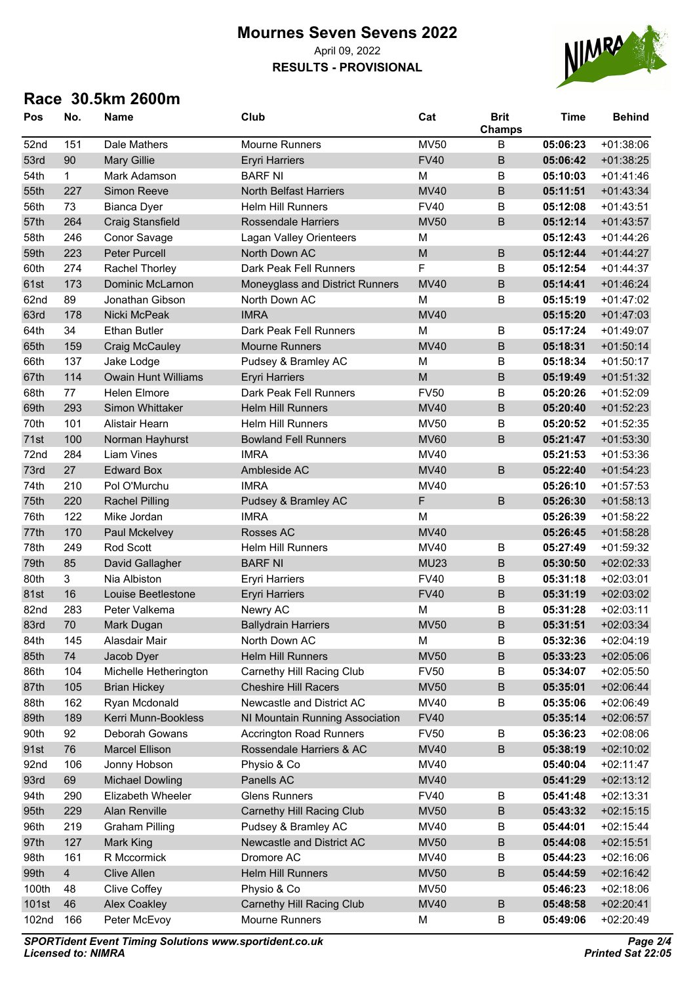#### **Mournes Seven Sevens 2022** April 09, 2022

# **RESULTS - PROVISIONAL**



| Pos   | No.            | <b>Name</b>                | Club                             | Cat         | <b>Brit</b><br>Champs | <b>Time</b> | <b>Behind</b> |
|-------|----------------|----------------------------|----------------------------------|-------------|-----------------------|-------------|---------------|
| 52nd  | 151            | Dale Mathers               | <b>Mourne Runners</b>            | <b>MV50</b> | B                     | 05:06:23    | $+01:38:06$   |
| 53rd  | 90             | <b>Mary Gillie</b>         | <b>Eryri Harriers</b>            | <b>FV40</b> | $\overline{B}$        | 05:06:42    | $+01:38:25$   |
| 54th  | $\mathbf{1}$   | Mark Adamson               | <b>BARF NI</b>                   | M           | B                     | 05:10:03    | $+01:41:46$   |
| 55th  | 227            | Simon Reeve                | North Belfast Harriers           | <b>MV40</b> | $\sf B$               | 05:11:51    | $+01:43:34$   |
| 56th  | 73             | <b>Bianca Dyer</b>         | <b>Helm Hill Runners</b>         | <b>FV40</b> | B                     | 05:12:08    | $+01:43:51$   |
| 57th  | 264            | <b>Craig Stansfield</b>    | <b>Rossendale Harriers</b>       | <b>MV50</b> | $\mathsf B$           | 05:12:14    | $+01:43:57$   |
| 58th  | 246            | Conor Savage               | Lagan Valley Orienteers          | M           |                       | 05:12:43    | $+01:44:26$   |
| 59th  | 223            | Peter Purcell              | North Down AC                    | M           | $\sf B$               | 05:12:44    | $+01:44:27$   |
| 60th  | 274            | Rachel Thorley             | Dark Peak Fell Runners           | F           | B                     | 05:12:54    | $+01:44:37$   |
| 61st  | 173            | <b>Dominic McLarnon</b>    | Moneyglass and District Runners  | <b>MV40</b> | $\sf B$               | 05:14:41    | $+01:46:24$   |
| 62nd  | 89             | Jonathan Gibson            | North Down AC                    | M           | B                     | 05:15:19    | $+01:47:02$   |
| 63rd  | 178            | Nicki McPeak               | <b>IMRA</b>                      | <b>MV40</b> |                       | 05:15:20    | $+01:47:03$   |
| 64th  | 34             | <b>Ethan Butler</b>        | Dark Peak Fell Runners           | M           | B                     | 05:17:24    | $+01:49:07$   |
| 65th  | 159            | <b>Craig McCauley</b>      | <b>Mourne Runners</b>            | <b>MV40</b> | $\sf B$               | 05:18:31    | $+01:50:14$   |
| 66th  | 137            | Jake Lodge                 | Pudsey & Bramley AC              | M           | B                     | 05:18:34    | $+01:50:17$   |
| 67th  | 114            | <b>Owain Hunt Williams</b> | <b>Eryri Harriers</b>            | M           | $\overline{B}$        | 05:19:49    | $+01:51:32$   |
| 68th  | 77             | <b>Helen Elmore</b>        | Dark Peak Fell Runners           | <b>FV50</b> | B                     | 05:20:26    | $+01:52:09$   |
| 69th  | 293            | Simon Whittaker            | <b>Helm Hill Runners</b>         | <b>MV40</b> | $\sf B$               | 05:20:40    | $+01:52:23$   |
| 70th  | 101            | Alistair Hearn             | <b>Helm Hill Runners</b>         | <b>MV50</b> | B                     | 05:20:52    | $+01:52:35$   |
| 71st  | 100            | Norman Hayhurst            | <b>Bowland Fell Runners</b>      | <b>MV60</b> | B                     | 05:21:47    | $+01:53:30$   |
| 72nd  | 284            | <b>Liam Vines</b>          | <b>IMRA</b>                      | MV40        |                       | 05:21:53    | $+01:53:36$   |
| 73rd  | 27             | <b>Edward Box</b>          | Ambleside AC                     | <b>MV40</b> | B                     | 05:22:40    | $+01:54:23$   |
| 74th  | 210            | Pol O'Murchu               | <b>IMRA</b>                      | MV40        |                       | 05:26:10    | $+01:57:53$   |
| 75th  | 220            | <b>Rachel Pilling</b>      | Pudsey & Bramley AC              | F           | B                     | 05:26:30    | $+01:58:13$   |
| 76th  | 122            | Mike Jordan                | <b>IMRA</b>                      | M           |                       | 05:26:39    | $+01:58:22$   |
| 77th  | 170            | Paul Mckelvey              | Rosses AC                        | <b>MV40</b> |                       | 05:26:45    | $+01:58:28$   |
| 78th  | 249            | Rod Scott                  | <b>Helm Hill Runners</b>         | MV40        | B                     | 05:27:49    | $+01:59:32$   |
| 79th  | 85             | David Gallagher            | <b>BARF NI</b>                   | <b>MU23</b> | $\sf B$               | 05:30:50    | $+02:02:33$   |
| 80th  | 3              | Nia Albiston               | <b>Eryri Harriers</b>            | <b>FV40</b> | B                     | 05:31:18    | $+02:03:01$   |
| 81st  | 16             | Louise Beetlestone         | <b>Eryri Harriers</b>            | <b>FV40</b> | $\overline{B}$        | 05:31:19    | $+02:03:02$   |
| 82nd  | 283            | Peter Valkema              | Newry AC                         | M           | B                     | 05:31:28    | $+02:03:11$   |
| 83rd  | 70             | Mark Dugan                 | <b>Ballydrain Harriers</b>       | <b>MV50</b> | B                     | 05:31:51    | $+02:03:34$   |
| 84th  | 145            | Alasdair Mair              | North Down AC                    | М           | B                     | 05:32:36    | $+02:04:19$   |
| 85th  | 74             | Jacob Dyer                 | Helm Hill Runners                | <b>MV50</b> | $\sf B$               | 05:33:23    | $+02:05:06$   |
| 86th  | 104            | Michelle Hetherington      | Carnethy Hill Racing Club        | <b>FV50</b> | B                     | 05:34:07    | $+02:05:50$   |
| 87th  | 105            | <b>Brian Hickey</b>        | <b>Cheshire Hill Racers</b>      | <b>MV50</b> | $\sf B$               | 05:35:01    | $+02:06:44$   |
| 88th  | 162            | Ryan Mcdonald              | Newcastle and District AC        | MV40        | B                     | 05:35:06    | $+02:06:49$   |
| 89th  | 189            | Kerri Munn-Bookless        | NI Mountain Running Association  | <b>FV40</b> |                       | 05:35:14    | $+02:06:57$   |
| 90th  | 92             | Deborah Gowans             | <b>Accrington Road Runners</b>   | <b>FV50</b> | B                     | 05:36:23    | $+02:08:06$   |
| 91st  | 76             | <b>Marcel Ellison</b>      | Rossendale Harriers & AC         | <b>MV40</b> | $\sf B$               | 05:38:19    | $+02:10:02$   |
| 92nd  | 106            | Jonny Hobson               | Physio & Co                      | MV40        |                       | 05:40:04    | $+02:11:47$   |
| 93rd  | 69             | <b>Michael Dowling</b>     | Panells AC                       | <b>MV40</b> |                       | 05:41:29    | $+02:13:12$   |
| 94th  | 290            | Elizabeth Wheeler          | <b>Glens Runners</b>             | <b>FV40</b> | B                     | 05:41:48    | $+02:13:31$   |
| 95th  | 229            | Alan Renville              | Carnethy Hill Racing Club        | <b>MV50</b> | $\sf B$               | 05:43:32    | $+02:15:15$   |
| 96th  | 219            | <b>Graham Pilling</b>      | Pudsey & Bramley AC              | MV40        | B                     | 05:44:01    | $+02:15:44$   |
| 97th  | 127            | Mark King                  | Newcastle and District AC        | <b>MV50</b> | $\sf B$               | 05:44:08    | $+02:15:51$   |
| 98th  | 161            | R Mccormick                | Dromore AC                       | MV40        | B                     | 05:44:23    | $+02:16:06$   |
| 99th  | $\overline{4}$ | <b>Clive Allen</b>         | Helm Hill Runners                | <b>MV50</b> | $\sf B$               | 05:44:59    | $+02:16:42$   |
| 100th | 48             | Clive Coffey               | Physio & Co                      | <b>MV50</b> |                       | 05:46:23    | $+02:18:06$   |
| 101st | 46             | <b>Alex Coakley</b>        | <b>Carnethy Hill Racing Club</b> | <b>MV40</b> | $\sf B$               | 05:48:58    | $+02:20:41$   |
| 102nd | 166            | Peter McEvoy               | Mourne Runners                   | M           | B                     | 05:49:06    | +02:20:49     |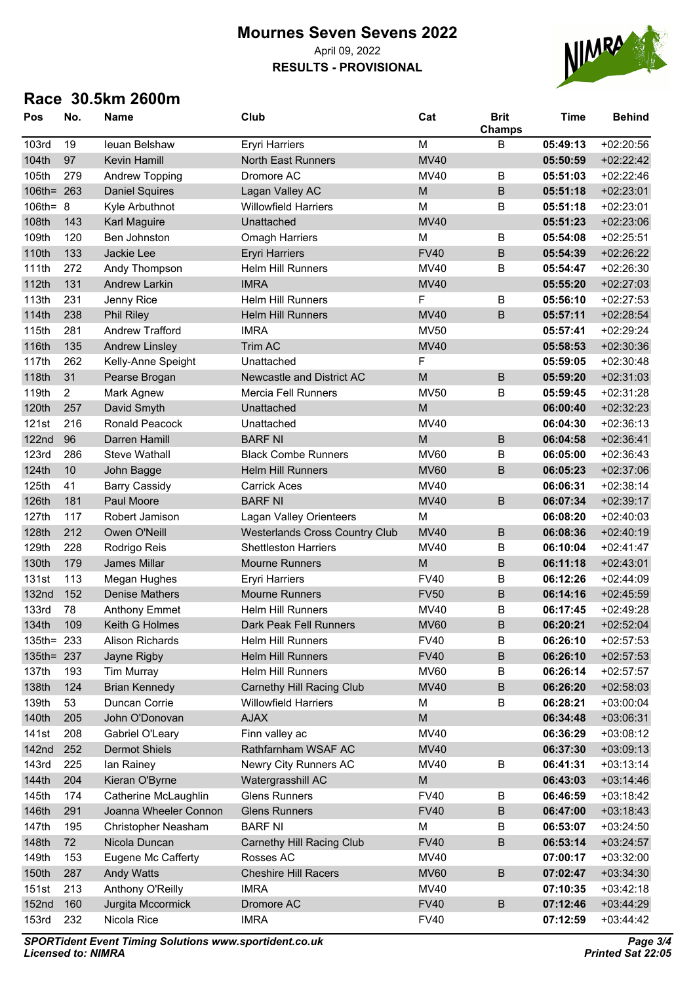#### **Mournes Seven Sevens 2022** April 09, 2022

# **RESULTS - PROVISIONAL**



| Pos          | No.            | <b>Name</b>            | Club                                  | Cat         | <b>Brit</b><br><b>Champs</b> | <b>Time</b> | <b>Behind</b> |
|--------------|----------------|------------------------|---------------------------------------|-------------|------------------------------|-------------|---------------|
| <b>103rd</b> | 19             | leuan Belshaw          | <b>Eryri Harriers</b>                 | M           | B                            | 05:49:13    | $+02:20:56$   |
| 104th        | 97             | Kevin Hamill           | <b>North East Runners</b>             | <b>MV40</b> |                              | 05:50:59    | $+02:22:42$   |
| 105th        | 279            | <b>Andrew Topping</b>  | Dromore AC                            | MV40        | B                            | 05:51:03    | $+02:22:46$   |
| 106th=       | 263            | <b>Daniel Squires</b>  | Lagan Valley AC                       | M           | B                            | 05:51:18    | $+02:23:01$   |
| 106th= 8     |                | Kyle Arbuthnot         | <b>Willowfield Harriers</b>           | M           | B                            | 05:51:18    | $+02:23:01$   |
| 108th        | 143            | <b>Karl Maguire</b>    | Unattached                            | <b>MV40</b> |                              | 05:51:23    | $+02:23:06$   |
| 109th        | 120            | Ben Johnston           | <b>Omagh Harriers</b>                 | M           | $\sf B$                      | 05:54:08    | $+02:25:51$   |
| 110th        | 133            | Jackie Lee             | <b>Eryri Harriers</b>                 | <b>FV40</b> | $\sf B$                      | 05:54:39    | $+02:26:22$   |
| 111th        | 272            | Andy Thompson          | <b>Helm Hill Runners</b>              | MV40        | B                            | 05:54:47    | $+02:26:30$   |
| 112th        | 131            | <b>Andrew Larkin</b>   | <b>IMRA</b>                           | <b>MV40</b> |                              | 05:55:20    | $+02:27:03$   |
| 113th        | 231            | Jenny Rice             | <b>Helm Hill Runners</b>              | F           | $\sf B$                      | 05:56:10    | $+02:27:53$   |
| 114th        | 238            | <b>Phil Riley</b>      | Helm Hill Runners                     | <b>MV40</b> | B                            | 05:57:11    | $+02:28:54$   |
| 115th        | 281            | <b>Andrew Trafford</b> | <b>IMRA</b>                           | <b>MV50</b> |                              | 05:57:41    | +02:29:24     |
| 116th        | 135            | <b>Andrew Linsley</b>  | Trim AC                               | <b>MV40</b> |                              | 05:58:53    | $+02:30:36$   |
| 117th        | 262            | Kelly-Anne Speight     | Unattached                            | F           |                              | 05:59:05    | $+02:30:48$   |
| 118th        | 31             | Pearse Brogan          | Newcastle and District AC             | M           | B                            | 05:59:20    | $+02:31:03$   |
| 119th        | $\overline{c}$ | Mark Agnew             | <b>Mercia Fell Runners</b>            | <b>MV50</b> | B                            | 05:59:45    | $+02:31:28$   |
| 120th        | 257            | David Smyth            | Unattached                            | M           |                              | 06:00:40    | $+02:32:23$   |
| 121st        | 216            | Ronald Peacock         | Unattached                            | <b>MV40</b> |                              | 06:04:30    | $+02:36:13$   |
| <b>122nd</b> | 96             | Darren Hamill          | <b>BARF NI</b>                        | M           | B                            | 06:04:58    | $+02:36:41$   |
| <b>123rd</b> | 286            | <b>Steve Wathall</b>   | <b>Black Combe Runners</b>            | <b>MV60</b> | B                            | 06:05:00    | $+02:36:43$   |
| 124th        | 10             | John Bagge             | <b>Helm Hill Runners</b>              | <b>MV60</b> | B                            | 06:05:23    | $+02:37:06$   |
| 125th        | 41             | <b>Barry Cassidy</b>   | <b>Carrick Aces</b>                   | MV40        |                              | 06:06:31    | $+02:38:14$   |
| 126th        | 181            | Paul Moore             | <b>BARF NI</b>                        | <b>MV40</b> | $\sf B$                      | 06:07:34    | $+02:39:17$   |
| 127th        | 117            | Robert Jamison         | Lagan Valley Orienteers               | M           |                              | 06:08:20    | $+02:40:03$   |
| 128th        | 212            | Owen O'Neill           | <b>Westerlands Cross Country Club</b> | <b>MV40</b> | $\sf B$                      | 06:08:36    | $+02:40:19$   |
| 129th        | 228            | Rodrigo Reis           | <b>Shettleston Harriers</b>           | MV40        | B                            | 06:10:04    | $+02:41:47$   |
| 130th        | 179            | James Millar           | <b>Mourne Runners</b>                 | M           | $\sf B$                      | 06:11:18    | $+02:43:01$   |
| 131st        | 113            | Megan Hughes           | <b>Eryri Harriers</b>                 | <b>FV40</b> | B                            | 06:12:26    | $+02:44:09$   |
| <b>132nd</b> | 152            | <b>Denise Mathers</b>  | <b>Mourne Runners</b>                 | <b>FV50</b> | $\overline{B}$               | 06:14:16    | $+02:45:59$   |
| <b>133rd</b> | 78             | <b>Anthony Emmet</b>   | <b>Helm Hill Runners</b>              | <b>MV40</b> | B                            | 06:17:45    | $+02:49:28$   |
| 134th        | 109            | Keith G Holmes         | Dark Peak Fell Runners                | <b>MV60</b> | B                            | 06:20:21    | $+02:52:04$   |
| 135th= 233   |                | <b>Alison Richards</b> | Helm Hill Runners                     | <b>FV40</b> | B                            | 06:26:10    | $+02:57:53$   |
| $135$ th=    | 237            | Jayne Rigby            | Helm Hill Runners                     | <b>FV40</b> | $\sf B$                      | 06:26:10    | $+02:57:53$   |
| 137th        | 193            | <b>Tim Murray</b>      | <b>Helm Hill Runners</b>              | <b>MV60</b> | B                            | 06:26:14    | $+02:57:57$   |
| 138th        | 124            | <b>Brian Kennedy</b>   | <b>Carnethy Hill Racing Club</b>      | <b>MV40</b> | $\sf B$                      | 06:26:20    | $+02:58:03$   |
| 139th        | 53             | Duncan Corrie          | <b>Willowfield Harriers</b>           | М           | B                            | 06:28:21    | $+03:00:04$   |
| 140th        | 205            | John O'Donovan         | <b>AJAX</b>                           | M           |                              | 06:34:48    | $+03:06:31$   |
| 141st        | 208            | Gabriel O'Leary        | Finn valley ac                        | MV40        |                              | 06:36:29    | $+03:08:12$   |
| 142nd        | 252            | <b>Dermot Shiels</b>   | Rathfarnham WSAF AC                   | <b>MV40</b> |                              | 06:37:30    | $+03:09:13$   |
| 143rd        | 225            | lan Rainey             | Newry City Runners AC                 | MV40        | B                            | 06:41:31    | $+03:13:14$   |
| 144th        | 204            | Kieran O'Byrne         | Watergrasshill AC                     | M           |                              | 06:43:03    | $+03:14:46$   |
| 145th        | 174            | Catherine McLaughlin   | <b>Glens Runners</b>                  | <b>FV40</b> | B                            | 06:46:59    | $+03:18:42$   |
| 146th        | 291            | Joanna Wheeler Connon  | <b>Glens Runners</b>                  | <b>FV40</b> | $\sf B$                      | 06:47:00    | $+03:18:43$   |
| 147th        | 195            | Christopher Neasham    | <b>BARF NI</b>                        | M           | B                            | 06:53:07    | $+03:24:50$   |
| 148th        | 72             | Nicola Duncan          | Carnethy Hill Racing Club             | <b>FV40</b> | $\sf B$                      | 06:53:14    | $+03:24:57$   |
| 149th        | 153            | Eugene Mc Cafferty     | Rosses AC                             | MV40        |                              | 07:00:17    | $+03:32:00$   |
| 150th        | 287            | <b>Andy Watts</b>      | <b>Cheshire Hill Racers</b>           | <b>MV60</b> | $\sf B$                      | 07:02:47    | $+03:34:30$   |
| 151st        | 213            | Anthony O'Reilly       | <b>IMRA</b>                           | MV40        |                              | 07:10:35    | $+03:42:18$   |
| <b>152nd</b> | 160            | Jurgita Mccormick      | Dromore AC                            | <b>FV40</b> | $\sf B$                      | 07:12:46    | $+03:44:29$   |
| 153rd        | 232            | Nicola Rice            | <b>IMRA</b>                           | <b>FV40</b> |                              | 07:12:59    | $+03:44:42$   |